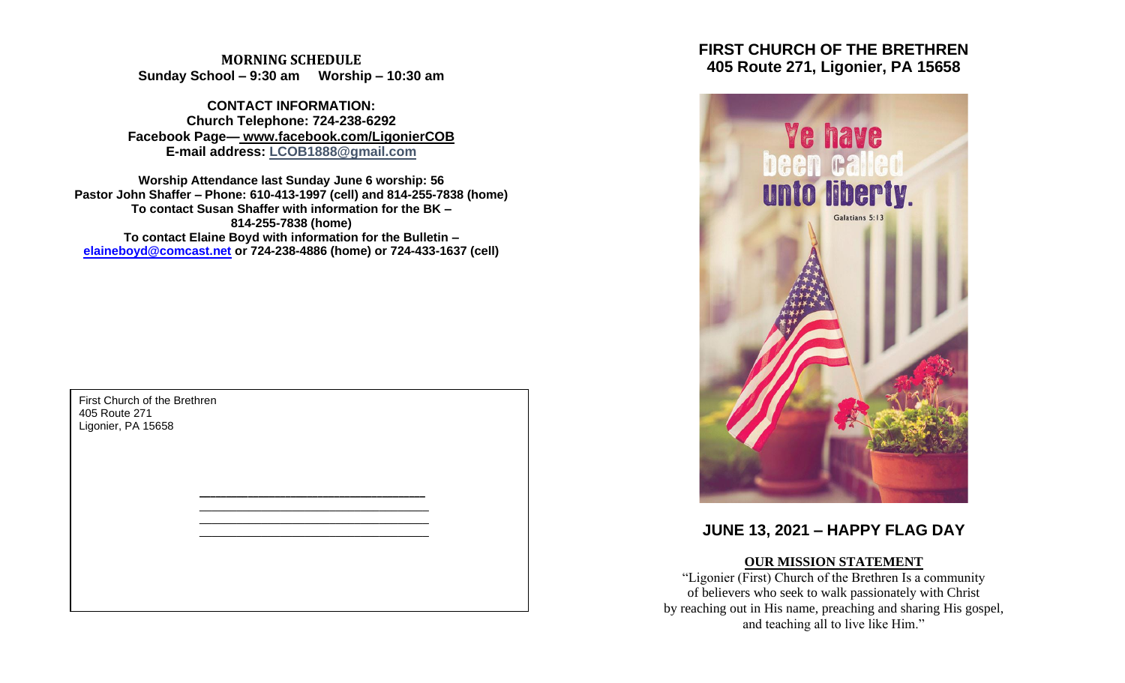**MORNING SCHEDULE Sunday School – 9:30 am Worship – 10:30 am**

**CONTACT INFORMATION: Church Telephone: 724-238-6292 Facebook Page— www.facebook.com/LigonierCOB E-mail address: LCOB1888@gmail.com**

**Worship Attendance last Sunday June 6 worship: 56 Pastor John Shaffer – Phone: 610-413-1997 (cell) and 814-255-7838 (home) To contact Susan Shaffer with information for the BK – 814-255-7838 (home) To contact Elaine Boyd with information for the Bulletin – [elaineboyd@comcast.net](mailto:elaineboyd@comcast.net) or 724-238-4886 (home) or 724-433-1637 (cell)**

> **\_\_\_\_\_\_\_\_\_\_\_\_\_\_\_\_\_\_\_\_\_\_\_\_\_\_\_\_\_\_\_\_\_\_\_\_\_\_\_\_\_\_** \_\_\_\_\_\_\_\_\_\_\_\_\_\_\_\_\_\_\_\_\_\_\_\_\_\_\_\_\_\_\_\_\_\_\_\_\_ \_\_\_\_\_\_\_\_\_\_\_\_\_\_\_\_\_\_\_\_\_\_\_\_\_\_\_\_\_\_\_\_\_\_\_\_\_ \_\_\_\_\_\_\_\_\_\_\_\_\_\_\_\_\_\_\_\_\_\_\_\_\_\_\_\_\_\_\_\_\_\_\_\_\_

First Church of the Brethren 405 Route 271 Ligonier, PA 15658

# **FIRST CHURCH OF THE BRETHREN 405 Route 271, Ligonier, PA 15658**



# **JUNE 13, 2021 – HAPPY FLAG DAY**

# **OUR MISSION STATEMENT**

"Ligonier (First) Church of the Brethren Is a community of believers who seek to walk passionately with Christ by reaching out in His name, preaching and sharing His gospel, and teaching all to live like Him."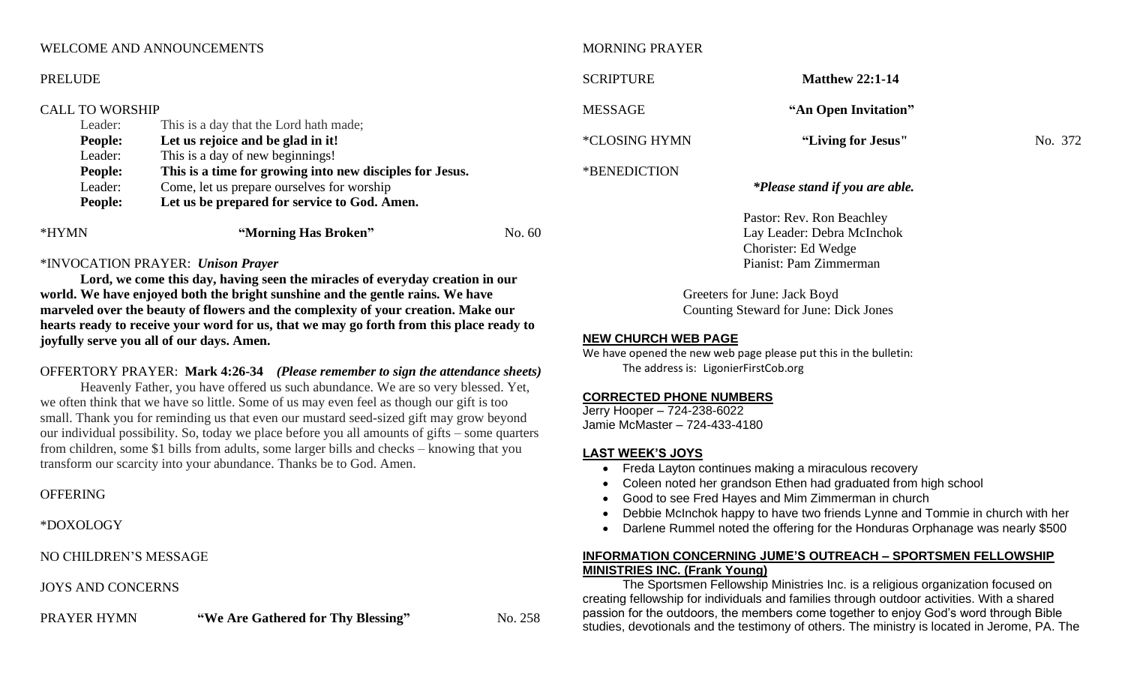## WELCOME AND ANNOUNCEMENTS

#### PRELUDE

#### CALL TO WORSHIP

| Leader:        | This is a day that the Lord hath made;                   |        |
|----------------|----------------------------------------------------------|--------|
| <b>People:</b> | Let us rejoice and be glad in it!                        |        |
| Leader:        | This is a day of new beginnings!                         |        |
| <b>People:</b> | This is a time for growing into new disciples for Jesus. |        |
| Leader:        | Come, let us prepare ourselves for worship               |        |
| <b>People:</b> | Let us be prepared for service to God. Amen.             |        |
| *HYMN          | "Morning Has Broken"                                     | No. 60 |

#### \*INVOCATION PRAYER: *Unison Prayer*

**Lord, we come this day, having seen the miracles of everyday creation in our world. We have enjoyed both the bright sunshine and the gentle rains. We have marveled over the beauty of flowers and the complexity of your creation. Make our hearts ready to receive your word for us, that we may go forth from this place ready to joyfully serve you all of our days. Amen.**

# OFFERTORY PRAYER: **Mark 4:26-34** *(Please remember to sign the attendance sheets)*

Heavenly Father, you have offered us such abundance. We are so very blessed. Yet, we often think that we have so little. Some of us may even feel as though our gift is too small. Thank you for reminding us that even our mustard seed-sized gift may grow beyond our individual possibility. So, today we place before you all amounts of gifts – some quarters from children, some \$1 bills from adults, some larger bills and checks – knowing that you transform our scarcity into your abundance. Thanks be to God. Amen.

#### OFFERING

\*DOXOLOGY

NO CHILDREN'S MESSAGE

## JOYS AND CONCERNS

PRAYER HYMN **"We Are Gathered for Thy Blessing"** No. 258

MORNING PRAYER

**SCRIPTURE Matthew 22:1-14** MESSAGE **"An Open Invitation"** \*CLOSING HYMN **"Living for Jesus"** No. 372 \*BENEDICTION *\*Please stand if you are able.*

> Pastor: Rev. Ron Beachley Lay Leader: Debra McInchok Chorister: Ed Wedge Pianist: Pam Zimmerman

Greeters for June: Jack Boyd Counting Steward for June: Dick Jones

#### **NEW CHURCH WEB PAGE**

We have opened the new web page please put this in the bulletin: The address is: LigonierFirstCob.org

#### **CORRECTED PHONE NUMBERS**

Jerry Hooper – 724-238-6022 Jamie McMaster – 724-433-4180

#### **LAST WEEK'S JOYS**

- Freda Layton continues making a miraculous recovery
- Coleen noted her grandson Ethen had graduated from high school
- Good to see Fred Hayes and Mim Zimmerman in church
- Debbie McInchok happy to have two friends Lynne and Tommie in church with her
- Darlene Rummel noted the offering for the Honduras Orphanage was nearly \$500

# **INFORMATION CONCERNING JUME'S OUTREACH – SPORTSMEN FELLOWSHIP MINISTRIES INC. (Frank Young)**

The Sportsmen Fellowship Ministries Inc. is a religious organization focused on creating fellowship for individuals and families through outdoor activities. With a shared passion for the outdoors, the members come together to enjoy God's word through Bible studies, devotionals and the testimony of others. The ministry is located in Jerome, PA. The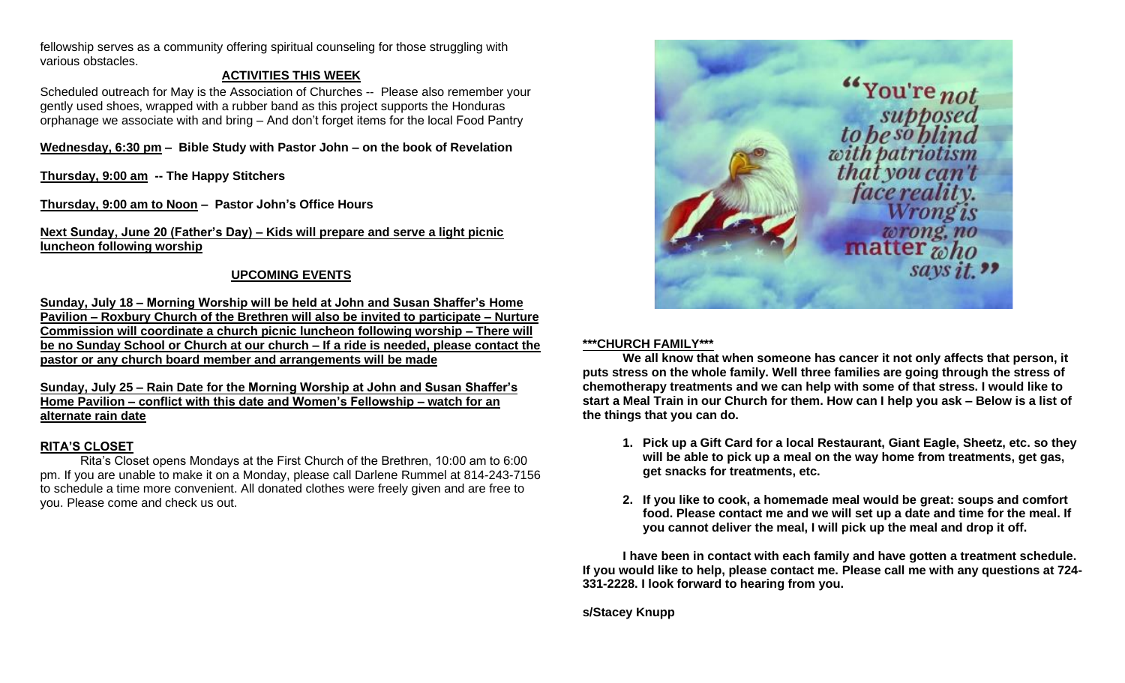fellowship serves as a community offering spiritual counseling for those struggling with various obstacles.

# **ACTIVITIES THIS WEEK**

Scheduled outreach for May is the Association of Churches -- Please also remember your gently used shoes, wrapped with a rubber band as this project supports the Honduras orphanage we associate with and bring – And don't forget items for the local Food Pantry

**Wednesday, 6:30 pm – Bible Study with Pastor John – on the book of Revelation**

**Thursday, 9:00 am -- The Happy Stitchers**

**Thursday, 9:00 am to Noon – Pastor John's Office Hours**

**Next Sunday, June 20 (Father's Day) – Kids will prepare and serve a light picnic luncheon following worship**

# **UPCOMING EVENTS**

**Sunday, July 18 – Morning Worship will be held at John and Susan Shaffer's Home Pavilion – Roxbury Church of the Brethren will also be invited to participate – Nurture Commission will coordinate a church picnic luncheon following worship – There will be no Sunday School or Church at our church – If a ride is needed, please contact the pastor or any church board member and arrangements will be made**

**Sunday, July 25 – Rain Date for the Morning Worship at John and Susan Shaffer's Home Pavilion – conflict with this date and Women's Fellowship – watch for an alternate rain date**

# **RITA'S CLOSET**

Rita's Closet opens Mondays at the First Church of the Brethren, 10:00 am to 6:00 pm. If you are unable to make it on a Monday, please call Darlene Rummel at 814-243-7156 to schedule a time more convenient. All donated clothes were freely given and are free to you. Please come and check us out.



## **\*\*\*CHURCH FAMILY\*\*\***

**We all know that when someone has cancer it not only affects that person, it puts stress on the whole family. Well three families are going through the stress of chemotherapy treatments and we can help with some of that stress. I would like to start a Meal Train in our Church for them. How can I help you ask – Below is a list of the things that you can do.**

- **1. Pick up a Gift Card for a local Restaurant, Giant Eagle, Sheetz, etc. so they will be able to pick up a meal on the way home from treatments, get gas, get snacks for treatments, etc.**
- **2. If you like to cook, a homemade meal would be great: soups and comfort food. Please contact me and we will set up a date and time for the meal. If you cannot deliver the meal, I will pick up the meal and drop it off.**

**I have been in contact with each family and have gotten a treatment schedule. If you would like to help, please contact me. Please call me with any questions at 724- 331-2228. I look forward to hearing from you.** 

**s/Stacey Knupp**